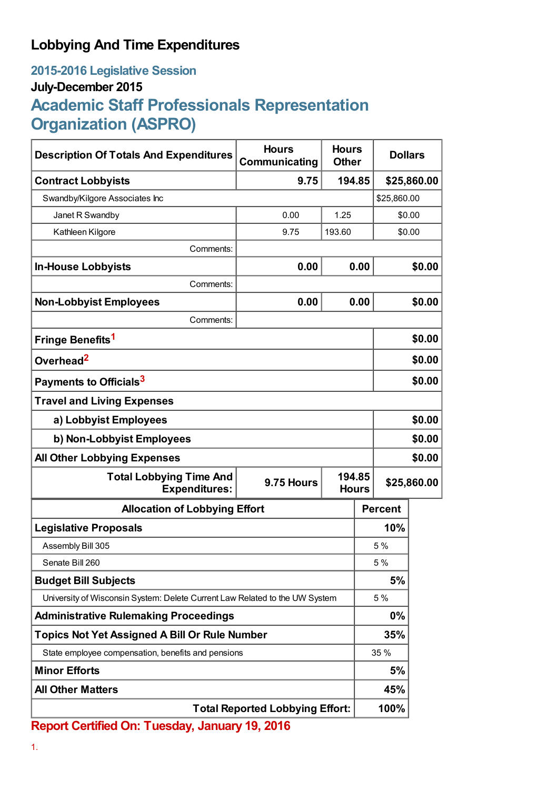## **Lobbying And Time Expenditures**

## **2015-2016 Legislative Session July-December 2015 Academic Staff Professionals Representation Organization (ASPRO)**

| <b>Description Of Totals And Expenditures</b>                               | <b>Hours</b><br>Communicating | <b>Hours</b><br><b>Other</b> |                                       | <b>Dollars</b> |        |  |
|-----------------------------------------------------------------------------|-------------------------------|------------------------------|---------------------------------------|----------------|--------|--|
| <b>Contract Lobbyists</b>                                                   | 9.75                          | 194.85                       |                                       | \$25,860.00    |        |  |
| Swandby/Kilgore Associates Inc                                              |                               |                              |                                       | \$25,860.00    |        |  |
| Janet R Swandby                                                             | 0.00                          | 1.25                         |                                       | \$0.00         |        |  |
| Kathleen Kilgore                                                            | 9.75                          | 193.60                       |                                       | \$0.00         |        |  |
| Comments:                                                                   |                               |                              |                                       |                |        |  |
| <b>In-House Lobbyists</b>                                                   | 0.00                          | 0.00                         |                                       |                | \$0.00 |  |
| Comments:                                                                   |                               |                              |                                       |                |        |  |
| <b>Non-Lobbyist Employees</b>                                               | 0.00                          |                              | 0.00                                  |                | \$0.00 |  |
| Comments:                                                                   |                               |                              |                                       |                |        |  |
| Fringe Benefits <sup>1</sup>                                                |                               |                              |                                       | \$0.00         |        |  |
| Overhead <sup>2</sup>                                                       |                               |                              |                                       | \$0.00         |        |  |
| Payments to Officials <sup>3</sup>                                          |                               |                              |                                       | \$0.00         |        |  |
| <b>Travel and Living Expenses</b>                                           |                               |                              |                                       |                |        |  |
| a) Lobbyist Employees                                                       |                               |                              |                                       | \$0.00         |        |  |
| b) Non-Lobbyist Employees                                                   |                               |                              |                                       | \$0.00         |        |  |
| <b>All Other Lobbying Expenses</b>                                          |                               |                              |                                       | \$0.00         |        |  |
| <b>Total Lobbying Time And</b><br><b>Expenditures:</b>                      | 9.75 Hours                    |                              | 194.85<br>\$25,860.00<br><b>Hours</b> |                |        |  |
| <b>Allocation of Lobbying Effort</b>                                        |                               |                              |                                       | <b>Percent</b> |        |  |
| <b>Legislative Proposals</b>                                                |                               |                              |                                       | 10%            |        |  |
| Assembly Bill 305                                                           |                               |                              |                                       | 5 %            |        |  |
| Senate Bill 260                                                             |                               |                              |                                       | 5 %            |        |  |
| <b>Budget Bill Subjects</b>                                                 |                               |                              | 5%                                    |                |        |  |
| University of Wisconsin System: Delete Current Law Related to the UW System |                               |                              | 5 %                                   |                |        |  |
| <b>Administrative Rulemaking Proceedings</b>                                |                               |                              | 0%                                    |                |        |  |
| <b>Topics Not Yet Assigned A Bill Or Rule Number</b>                        |                               |                              | 35%                                   |                |        |  |
| State employee compensation, benefits and pensions                          |                               |                              | 35 %                                  |                |        |  |
| <b>Minor Efforts</b>                                                        |                               |                              | 5%                                    |                |        |  |
| <b>All Other Matters</b>                                                    |                               |                              |                                       | 45%            |        |  |
| <b>Total Reported Lobbying Effort:</b>                                      |                               |                              |                                       | 100%           |        |  |

**Report Certified On: Tuesday, January 19, 2016**